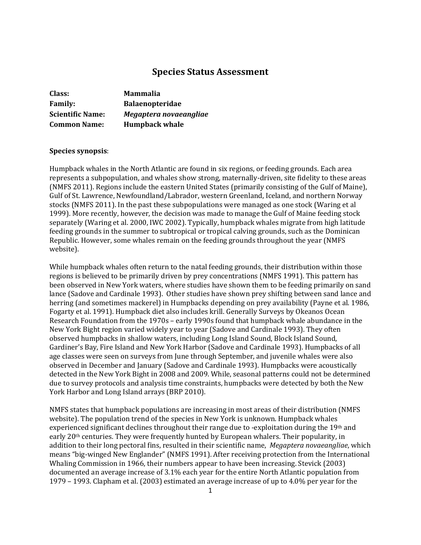# **Species Status Assessment**

| Class:                  | <b>Mammalia</b>        |
|-------------------------|------------------------|
| <b>Family:</b>          | <b>Balaenopteridae</b> |
| <b>Scientific Name:</b> | Megaptera novaeangliae |
| <b>Common Name:</b>     | <b>Humpback whale</b>  |

# **Species synopsis**:

Humpback whales in the North Atlantic are found in six regions, or feeding grounds. Each area represents a subpopulation, and whales show strong, maternally-driven, site fidelity to these areas (NMFS 2011). Regions include the eastern United States (primarily consisting of the Gulf of Maine), Gulf of St. Lawrence, Newfoundland/Labrador, western Greenland, Iceland, and northern Norway stocks (NMFS 2011). In the past these subpopulations were managed as one stock (Waring et al 1999). More recently, however, the decision was made to manage the Gulf of Maine feeding stock separately (Waring et al. 2000, IWC 2002). Typically, humpback whales migrate from high latitude feeding grounds in the summer to subtropical or tropical calving grounds, such as the Dominican Republic. However, some whales remain on the feeding grounds throughout the year (NMFS website).

While humpback whales often return to the natal feeding grounds, their distribution within those regions is believed to be primarily driven by prey concentrations (NMFS 1991). This pattern has been observed in New York waters, where studies have shown them to be feeding primarily on sand lance (Sadove and Cardinale 1993). Other studies have shown prey shifting between sand lance and herring (and sometimes mackerel) in Humpbacks depending on prey availability (Payne et al. 1986, Fogarty et al. 1991). Humpback diet also includes krill. Generally Surveys by Okeanos Ocean Research Foundation from the 1970s – early 1990s found that humpback whale abundance in the New York Bight region varied widely year to year (Sadove and Cardinale 1993). They often observed humpbacks in shallow waters, including Long Island Sound, Block Island Sound, Gardiner's Bay, Fire Island and New York Harbor (Sadove and Cardinale 1993). Humpbacks of all age classes were seen on surveys from June through September, and juvenile whales were also observed in December and January (Sadove and Cardinale 1993). Humpbacks were acoustically detected in the New York Bight in 2008 and 2009. While, seasonal patterns could not be determined due to survey protocols and analysis time constraints, humpbacks were detected by both the New York Harbor and Long Island arrays (BRP 2010).

NMFS states that humpback populations are increasing in most areas of their distribution (NMFS website). The population trend of the species in New York is unknown. Humpback whales experienced significant declines throughout their range due to -exploitation during the 19th and early 20<sup>th</sup> centuries. They were frequently hunted by European whalers. Their popularity, in addition to their long pectoral fins, resulted in their scientific name, *Megaptera novaeangliae*, which means "big-winged New Englander" (NMFS 1991). After receiving protection from the International Whaling Commission in 1966, their numbers appear to have been increasing. Stevick (2003) documented an average increase of 3.1% each year for the entire North Atlantic population from 1979 – 1993. Clapham et al. (2003) estimated an average increase of up to 4.0% per year for the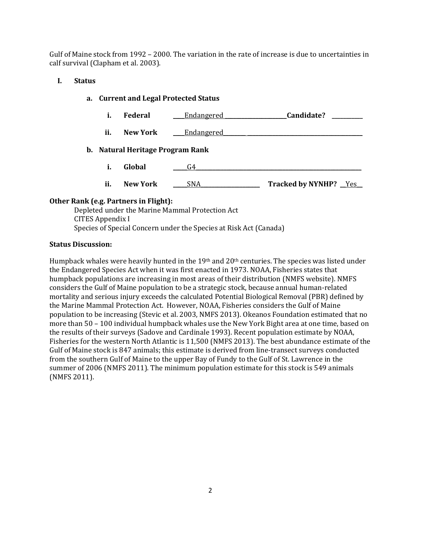Gulf of Maine stock from 1992 – 2000. The variation in the rate of increase is due to uncertainties in calf survival (Clapham et al. 2003).

# **I. Status**

# **a. Current and Legal Protected Status**

- i. Federal <u>Endangered</u> **Candidate?** *Candidate*
- **ii.** New York <u>Endangered</u>

# **b. Natural Heritage Program Rank**

- **i. Global G4**
- **ii. New York** \_\_\_\_\_SNA\_\_\_\_\_\_\_\_\_\_\_\_\_\_\_\_\_\_\_\_\_ **Tracked by NYNHP?** \_\_Yes\_\_

# **Other Rank (e.g. Partners in Flight):**

Depleted under the Marine Mammal Protection Act CITES Appendix I Species of Special Concern under the Species at Risk Act (Canada)

# **Status Discussion:**

Humpback whales were heavily hunted in the 19<sup>th</sup> and 20<sup>th</sup> centuries. The species was listed under the Endangered Species Act when it was first enacted in 1973. NOAA, Fisheries states that humpback populations are increasing in most areas of their distribution (NMFS website). NMFS considers the Gulf of Maine population to be a strategic stock, because annual human-related mortality and serious injury exceeds the calculated Potential Biological Removal (PBR) defined by the Marine Mammal Protection Act. However, NOAA, Fisheries considers the Gulf of Maine population to be increasing (Stevic et al. 2003, NMFS 2013). Okeanos Foundation estimated that no more than 50 – 100 individual humpback whales use the New York Bight area at one time, based on the results of their surveys (Sadove and Cardinale 1993). Recent population estimate by NOAA, Fisheries for the western North Atlantic is 11,500 (NMFS 2013). The best abundance estimate of the Gulf of Maine stock is 847 animals; this estimate is derived from line-transect surveys conducted from the southern Gulf of Maine to the upper Bay of Fundy to the Gulf of St. Lawrence in the summer of 2006 (NMFS 2011). The minimum population estimate for this stock is 549 animals (NMFS 2011).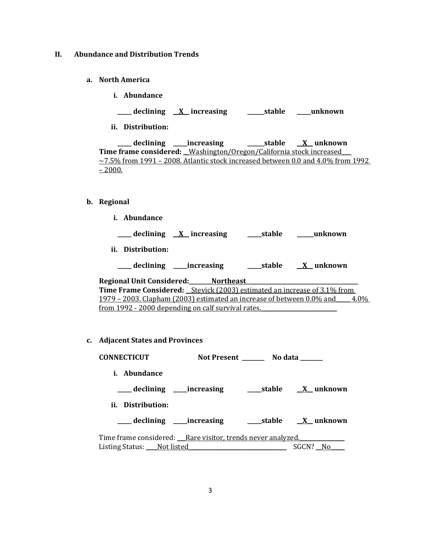### **II. Abundance and Distribution Trends**

- **a. North America**
	- **i. Abundance**
	- **\_\_\_\_\_ declining \_\_X\_\_ increasing \_\_\_\_\_\_stable \_\_\_\_\_unknown**
	- **ii. Distribution:**

**\_\_\_\_\_ declining \_\_\_\_\_increasing \_\_\_\_\_\_stable \_\_X\_\_ unknown Time frame considered:** \_\_Washington/Oregon/California stock increased\_\_\_\_  $\sim$ 7.5% from 1991 – 2008. Atlantic stock increased between 0.0 and 4.0% from 1992  $-2000.$ 

### **b. Regional**

**i. Abundance**

**\_\_\_\_\_ declining \_\_X\_\_ increasing \_\_\_\_\_stable \_\_\_\_\_\_unknown**

**ii. Distribution:**

| declining | increasing | stable | unknown |
|-----------|------------|--------|---------|
|-----------|------------|--------|---------|

**Regional Unit Considered:\_\_\_\_\_\_\_\_Northeast\_\_\_\_\_\_\_\_\_\_\_\_\_\_\_\_\_\_\_\_\_\_\_\_\_\_\_\_\_\_\_\_\_\_\_\_\_\_\_\_ Time Frame Considered: \_\_**Stevick (2003) estimated an increase of 3.1% from 1979 – 2003. Clapham (2003) estimated an increase of between  $0.0\%$  and  $4.0\%$ from 1992 - 2000 depending on calf survival rates.

**c. Adjacent States and Provinces**

| <b>CONNECTICUT</b>                                          | Not Present No data |          |
|-------------------------------------------------------------|---------------------|----------|
| <i>i.</i> Abundance                                         |                     |          |
|                                                             |                     |          |
| ii. Distribution:                                           |                     |          |
|                                                             |                     |          |
| Time frame considered: Rare visitor, trends never analyzed. |                     |          |
|                                                             |                     | SGCN? No |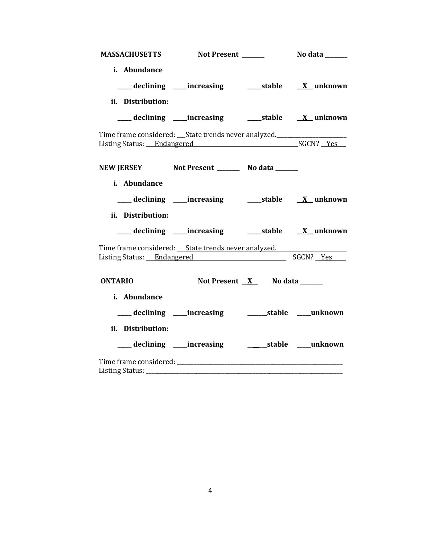|                   | MASSACHUSETTS Not Present ______                                                                | <b>No data</b> ______ |
|-------------------|-------------------------------------------------------------------------------------------------|-----------------------|
| i. Abundance      |                                                                                                 |                       |
|                   | ___ declining ____ increasing ______ stable ___ X__ unknown                                     |                       |
| ii. Distribution: |                                                                                                 |                       |
|                   | ___ declining ____increasing ______stable ___ X__unknown                                        |                       |
|                   | Time frame considered: ___ State trends never analyzed.<br>Listing Status: Endangered SGCN? Yes |                       |
|                   | NEW JERSEY Not Present __________ No data _______                                               |                       |
| i. Abundance      |                                                                                                 |                       |
|                   | ___ declining ____increasing ______stable _____X_unknown                                        |                       |
| ii. Distribution: |                                                                                                 |                       |
|                   | ___ declining ____increasing ______stable _____X__ unknown                                      |                       |
|                   | Time frame considered: ___ State trends never analyzed.<br>Listing Status: Endangered SGCN? Yes |                       |
| <b>ONTARIO</b>    | Not Present <u>X</u> No data ______                                                             |                       |
| i. Abundance      |                                                                                                 |                       |
|                   |                                                                                                 |                       |
| ii. Distribution: |                                                                                                 |                       |
|                   |                                                                                                 |                       |
|                   |                                                                                                 |                       |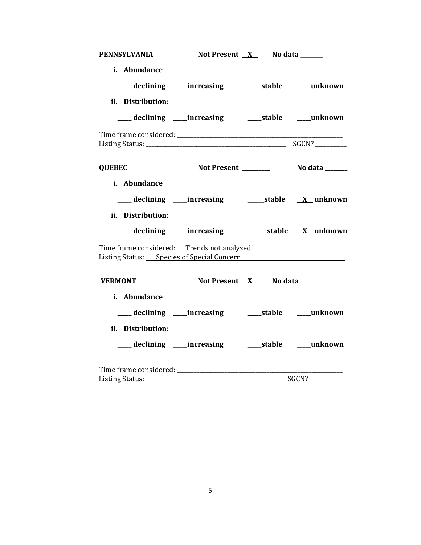| <b>PENNSYLVANIA</b>                                                                                                            | Not Present <u>X</u> No data ______                      |                                 |  |
|--------------------------------------------------------------------------------------------------------------------------------|----------------------------------------------------------|---------------------------------|--|
| i. Abundance<br>ii. Distribution:                                                                                              |                                                          |                                 |  |
|                                                                                                                                | ____ declining ____ increasing _____ stable ____ unknown |                                 |  |
|                                                                                                                                |                                                          |                                 |  |
| <b>QUEBEC</b>                                                                                                                  |                                                          |                                 |  |
| i. Abundance<br>ii. Distribution:                                                                                              |                                                          |                                 |  |
|                                                                                                                                |                                                          |                                 |  |
| Time frame considered: Trends not analyzed.<br>Listing Status: Species of Special Concern Charles Contains the Special Concern |                                                          |                                 |  |
| <b>VERMONT</b><br>i. Abundance                                                                                                 |                                                          | Not Present $X$ No data _______ |  |
|                                                                                                                                | ___ declining ____increasing ______stable ____unknown    |                                 |  |
| ii. Distribution:                                                                                                              | ___ declining ____increasing ______stable ____unknown    |                                 |  |
|                                                                                                                                |                                                          |                                 |  |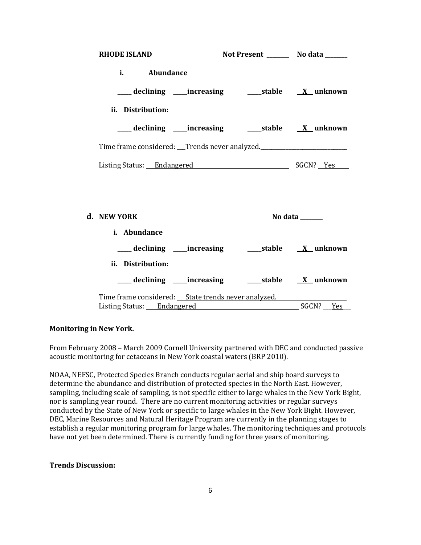| <b>RHODE ISLAND</b> |                   |                                                     | Not Present __________ No data _______                       |
|---------------------|-------------------|-----------------------------------------------------|--------------------------------------------------------------|
|                     | i. Abundance      |                                                     |                                                              |
|                     |                   |                                                     | ___declining ___increasing _____stable <u>X</u> _unknown     |
|                     | ii. Distribution: |                                                     |                                                              |
|                     |                   |                                                     | ___declining ___increasing _____stable ___ <u>X</u> _unknown |
|                     |                   |                                                     | Time frame considered: Trends never analyzed.                |
|                     |                   |                                                     | Listing Status: Endangered SGCN? Yes                         |
|                     |                   |                                                     |                                                              |
|                     |                   |                                                     |                                                              |
| d. NEW YORK         |                   |                                                     | No data $\_\_\_\_\_\_\_\_\_\_\_\_\$                          |
|                     | i. Abundance      |                                                     |                                                              |
|                     |                   |                                                     | ___declining ___increasing ____stable <u>X</u> _unknown      |
|                     | ii. Distribution: |                                                     |                                                              |
|                     |                   |                                                     |                                                              |
|                     |                   | Time frame considered: State trends never analyzed. |                                                              |
|                     |                   | Listing Status: Endangered                          | SGCN? Yes                                                    |

### **Monitoring in New York.**

From February 2008 – March 2009 Cornell University partnered with DEC and conducted passive acoustic monitoring for cetaceans in New York coastal waters (BRP 2010).

NOAA, NEFSC, Protected Species Branch conducts regular aerial and ship board surveys to determine the abundance and distribution of protected species in the North East. However, sampling, including scale of sampling, is not specific either to large whales in the New York Bight, nor is sampling year round. There are no current monitoring activities or regular surveys conducted by the State of New York or specific to large whales in the New York Bight. However, DEC, Marine Resources and Natural Heritage Program are currently in the planning stages to establish a regular monitoring program for large whales. The monitoring techniques and protocols have not yet been determined. There is currently funding for three years of monitoring.

## **Trends Discussion:**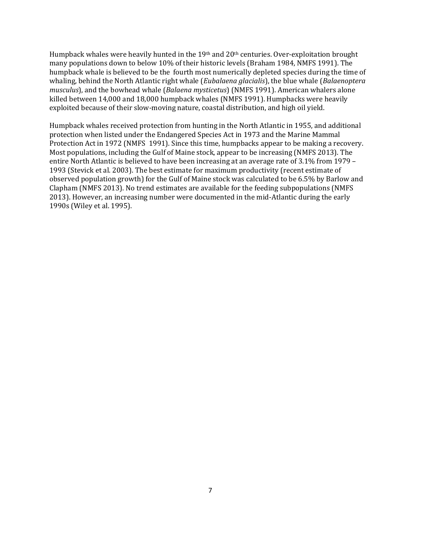Humpback whales were heavily hunted in the 19<sup>th</sup> and 20<sup>th</sup> centuries. Over-exploitation brought many populations down to below 10% of their historic levels (Braham 1984, NMFS 1991). The humpback whale is believed to be the fourth most numerically depleted species during the time of whaling, behind the North Atlantic right whale (*Eubalaena glacialis*), the blue whale (*Balaenoptera musculus*), and the bowhead whale (*Balaena mysticetus*) (NMFS 1991). American whalers alone killed between 14,000 and 18,000 humpback whales (NMFS 1991). Humpbacks were heavily exploited because of their slow-moving nature, coastal distribution, and high oil yield.

Humpback whales received protection from hunting in the North Atlantic in 1955, and additional protection when listed under the Endangered Species Act in 1973 and the Marine Mammal Protection Act in 1972 (NMFS 1991). Since this time, humpbacks appear to be making a recovery. Most populations, including the Gulf of Maine stock, appear to be increasing (NMFS 2013). The entire North Atlantic is believed to have been increasing at an average rate of 3.1% from 1979 – 1993 (Stevick et al. 2003). The best estimate for maximum productivity (recent estimate of observed population growth) for the Gulf of Maine stock was calculated to be 6.5% by Barlow and Clapham (NMFS 2013). No trend estimates are available for the feeding subpopulations (NMFS 2013). However, an increasing number were documented in the mid-Atlantic during the early 1990s (Wiley et al. 1995).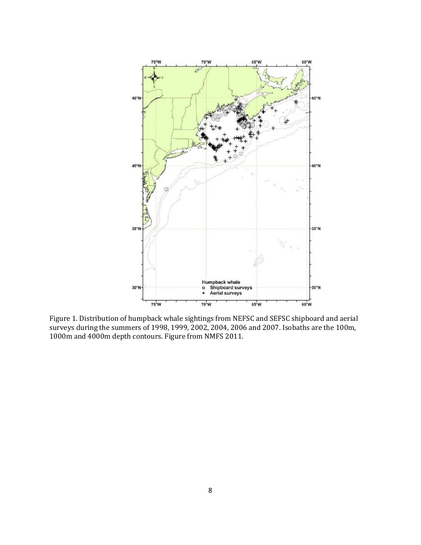

Figure 1. Distribution of humpback whale sightings from NEFSC and SEFSC shipboard and aerial surveys during the summers of 1998, 1999, 2002, 2004, 2006 and 2007. Isobaths are the 100m, 1000m and 4000m depth contours. Figure from NMFS 2011.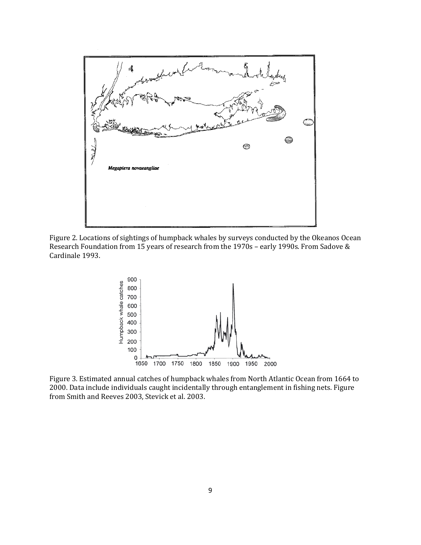

Figure 2. Locations of sightings of humpback whales by surveys conducted by the Okeanos Ocean Research Foundation from 15 years of research from the 1970s – early 1990s. From Sadove & Cardinale 1993.



Figure 3. Estimated annual catches of humpback whales from North Atlantic Ocean from 1664 to 2000. Data include individuals caught incidentally through entanglement in fishing nets. Figure from Smith and Reeves 2003, Stevick et al. 2003.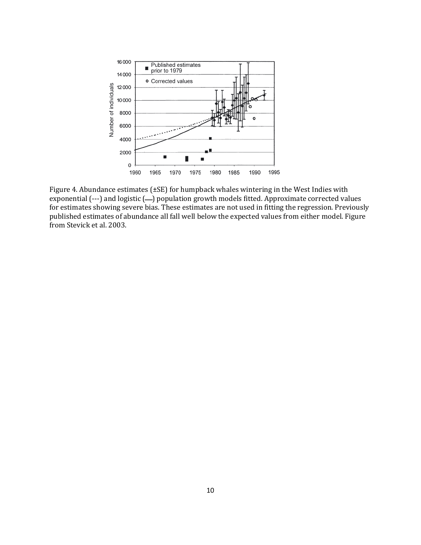

Figure 4. Abundance estimates (±SE) for humpback whales wintering in the West Indies with exponential (---) and logistic (--) population growth models fitted. Approximate corrected values for estimates showing severe bias. These estimates are not used in fitting the regression. Previously published estimates of abundance all fall well below the expected values from either model. Figure from Stevick et al. 2003.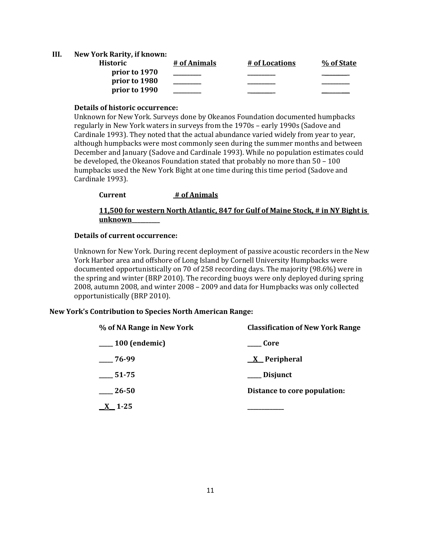### **III. New York Rarity, if known:**

| Historic      | # of Animals | # of Locations | % of State |
|---------------|--------------|----------------|------------|
| prior to 1970 |              |                |            |
| prior to 1980 |              |                |            |
| prior to 1990 |              |                |            |

# **Details of historic occurrence:**

Unknown for New York. Surveys done by Okeanos Foundation documented humpbacks regularly in New York waters in surveys from the 1970s – early 1990s (Sadove and Cardinale 1993). They noted that the actual abundance varied widely from year to year, although humpbacks were most commonly seen during the summer months and between December and January (Sadove and Cardinale 1993). While no population estimates could be developed, the Okeanos Foundation stated that probably no more than 50 – 100 humpbacks used the New York Bight at one time during this time period (Sadove and Cardinale 1993).

### **Current # of Animals**

# **11,500 for western North Atlantic, 847 for Gulf of Maine Stock, # in NY Bight is unknown\_\_\_\_\_\_\_\_\_\_**

## **Details of current occurrence:**

Unknown for New York. During recent deployment of passive acoustic recorders in the New York Harbor area and offshore of Long Island by Cornell University Humpbacks were documented opportunistically on 70 of 258 recording days. The majority (98.6%) were in the spring and winter (BRP 2010). The recording buoys were only deployed during spring 2008, autumn 2008, and winter 2008 – 2009 and data for Humpbacks was only collected opportunistically (BRP 2010).

### **New York's Contribution to Species North American Range:**

| % of NA Range in New York | <b>Classification of New York Range</b> |  |
|---------------------------|-----------------------------------------|--|
| $\frac{100}{2}$ (endemic) | Core                                    |  |
| $-76-99$                  | $X$ Peripheral                          |  |
| $\frac{1}{2}$ 51-75       | ___ Disjunct                            |  |
| $\_\_26-50$               | Distance to core population:            |  |
| $\underline{X}$ 1-25      |                                         |  |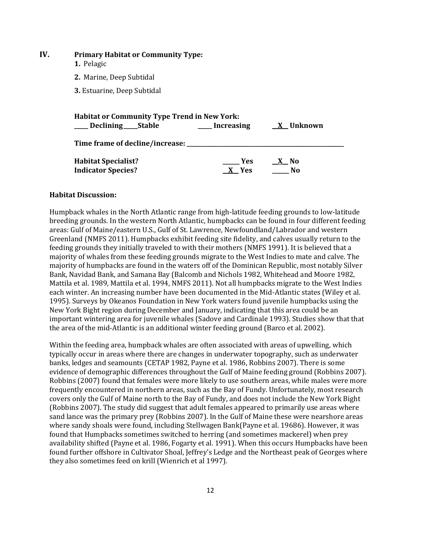### **IV. Primary Habitat or Community Type:**

- **1.** Pelagic
- **2.** Marine, Deep Subtidal

**3.** Estuarine, Deep Subtidal

| <b>Habitat or Community Type Trend in New York:</b> |            |           |  |  |
|-----------------------------------------------------|------------|-----------|--|--|
| ____ Declining ____ Stable                          | Increasing | X Unknown |  |  |
| Time frame of decline/increase:                     |            |           |  |  |
| <b>Habitat Specialist?</b>                          | Yes        | X No      |  |  |
| <b>Indicator Species?</b>                           | X Yes      | Nο        |  |  |

#### **Habitat Discussion:**

Humpback whales in the North Atlantic range from high-latitude feeding grounds to low-latitude breeding grounds. In the western North Atlantic, humpbacks can be found in four different feeding areas: Gulf of Maine/eastern U.S., Gulf of St. Lawrence, Newfoundland/Labrador and western Greenland (NMFS 2011). Humpbacks exhibit feeding site fidelity, and calves usually return to the feeding grounds they initially traveled to with their mothers (NMFS 1991). It is believed that a majority of whales from these feeding grounds migrate to the West Indies to mate and calve. The majority of humpbacks are found in the waters off of the Dominican Republic, most notably Silver Bank, Navidad Bank, and Samana Bay (Balcomb and Nichols 1982, Whitehead and Moore 1982, Mattila et al. 1989, Mattila et al. 1994, NMFS 2011). Not all humpbacks migrate to the West Indies each winter. An increasing number have been documented in the Mid-Atlantic states (Wiley et al. 1995). Surveys by Okeanos Foundation in New York waters found juvenile humpbacks using the New York Bight region during December and January, indicating that this area could be an important wintering area for juvenile whales (Sadove and Cardinale 1993). Studies show that that the area of the mid-Atlantic is an additional winter feeding ground (Barco et al. 2002).

Within the feeding area, humpback whales are often associated with areas of upwelling, which typically occur in areas where there are changes in underwater topography, such as underwater banks, ledges and seamounts (CETAP 1982, Payne et al. 1986, Robbins 2007). There is some evidence of demographic differences throughout the Gulf of Maine feeding ground (Robbins 2007). Robbins (2007) found that females were more likely to use southern areas, while males were more frequently encountered in northern areas, such as the Bay of Fundy. Unfortunately, most research covers only the Gulf of Maine north to the Bay of Fundy, and does not include the New York Bight (Robbins 2007). The study did suggest that adult females appeared to primarily use areas where sand lance was the primary prey (Robbins 2007). In the Gulf of Maine these were nearshore areas where sandy shoals were found, including Stellwagen Bank(Payne et al. 19686). However, it was found that Humpbacks sometimes switched to herring (and sometimes mackerel) when prey availability shifted (Payne et al. 1986, Fogarty et al. 1991). When this occurs Humpbacks have been found further offshore in Cultivator Shoal, Jeffrey's Ledge and the Northeast peak of Georges where they also sometimes feed on krill (Wienrich et al 1997).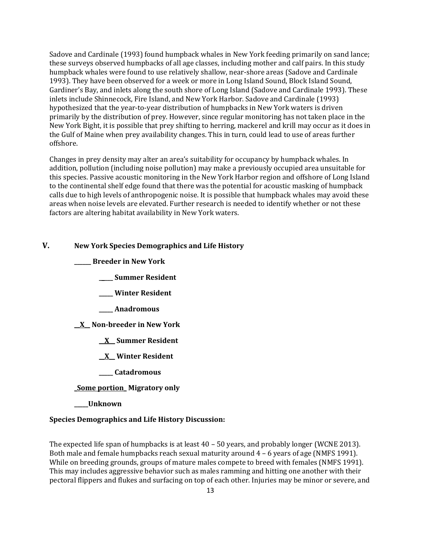Sadove and Cardinale (1993) found humpback whales in New York feeding primarily on sand lance; these surveys observed humpbacks of all age classes, including mother and calf pairs. In this study humpback whales were found to use relatively shallow, near-shore areas (Sadove and Cardinale 1993). They have been observed for a week or more in Long Island Sound, Block Island Sound, Gardiner's Bay, and inlets along the south shore of Long Island (Sadove and Cardinale 1993). These inlets include Shinnecock, Fire Island, and New York Harbor. Sadove and Cardinale (1993) hypothesized that the year-to-year distribution of humpbacks in New York waters is driven primarily by the distribution of prey. However, since regular monitoring has not taken place in the New York Bight, it is possible that prey shifting to herring, mackerel and krill may occur as it does in the Gulf of Maine when prey availability changes. This in turn, could lead to use of areas further offshore.

Changes in prey density may alter an area's suitability for occupancy by humpback whales. In addition, pollution (including noise pollution) may make a previously occupied area unsuitable for this species. Passive acoustic monitoring in the New York Harbor region and offshore of Long Island to the continental shelf edge found that there was the potential for acoustic masking of humpback calls due to high levels of anthropogenic noise. It is possible that humpback whales may avoid these areas when noise levels are elevated. Further research is needed to identify whether or not these factors are altering habitat availability in New York waters.

## **V. New York Species Demographics and Life History**

**\_\_\_\_\_\_ Breeder in New York**

- **\_\_\_\_\_ Summer Resident**
- **\_\_\_\_\_ Winter Resident**
- **\_\_\_\_\_ Anadromous**

**\_\_X\_\_ Non-breeder in New York**

- **\_\_X\_\_ Summer Resident**
- **\_\_X\_\_ Winter Resident**
- **\_\_\_\_\_ Catadromous**

## **\_Some portion\_ Migratory only**

**\_\_\_\_\_Unknown**

#### **Species Demographics and Life History Discussion:**

The expected life span of humpbacks is at least 40 – 50 years, and probably longer (WCNE 2013). Both male and female humpbacks reach sexual maturity around 4 – 6 years of age (NMFS 1991). While on breeding grounds, groups of mature males compete to breed with females (NMFS 1991). This may includes aggressive behavior such as males ramming and hitting one another with their pectoral flippers and flukes and surfacing on top of each other. Injuries may be minor or severe, and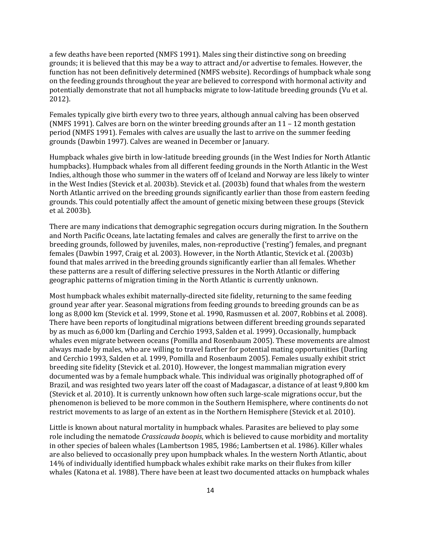a few deaths have been reported (NMFS 1991). Males sing their distinctive song on breeding grounds; it is believed that this may be a way to attract and/or advertise to females. However, the function has not been definitively determined (NMFS website). Recordings of humpback whale song on the feeding grounds throughout the year are believed to correspond with hormonal activity and potentially demonstrate that not all humpbacks migrate to low-latitude breeding grounds (Vu et al. 2012).

Females typically give birth every two to three years, although annual calving has been observed (NMFS 1991). Calves are born on the winter breeding grounds after an  $11 - 12$  month gestation period (NMFS 1991). Females with calves are usually the last to arrive on the summer feeding grounds (Dawbin 1997). Calves are weaned in December or January.

Humpback whales give birth in low-latitude breeding grounds (in the West Indies for North Atlantic humpbacks). Humpback whales from all different feeding grounds in the North Atlantic in the West Indies, although those who summer in the waters off of Iceland and Norway are less likely to winter in the West Indies (Stevick et al. 2003b). Stevick et al. (2003b) found that whales from the western North Atlantic arrived on the breeding grounds significantly earlier than those from eastern feeding grounds. This could potentially affect the amount of genetic mixing between these groups (Stevick et al. 2003b).

There are many indications that demographic segregation occurs during migration. In the Southern and North Pacific Oceans, late lactating females and calves are generally the first to arrive on the breeding grounds, followed by juveniles, males, non-reproductive ('resting') females, and pregnant females (Dawbin 1997, Craig et al. 2003). However, in the North Atlantic, Stevick et al. (2003b) found that males arrived in the breeding grounds significantly earlier than all females. Whether these patterns are a result of differing selective pressures in the North Atlantic or differing geographic patterns of migration timing in the North Atlantic is currently unknown.

Most humpback whales exhibit maternally-directed site fidelity, returning to the same feeding ground year after year. Seasonal migrations from feeding grounds to breeding grounds can be as long as 8,000 km (Stevick et al. 1999, Stone et al. 1990, Rasmussen et al. 2007, Robbins et al. 2008). There have been reports of longitudinal migrations between different breeding grounds separated by as much as 6,000 km (Darling and Cerchio 1993, Salden et al. 1999). Occasionally, humpback whales even migrate between oceans (Pomilla and Rosenbaum 2005). These movements are almost always made by males, who are willing to travel farther for potential mating opportunities (Darling and Cerchio 1993, Salden et al. 1999, Pomilla and Rosenbaum 2005). Females usually exhibit strict breeding site fidelity (Stevick et al. 2010). However, the longest mammalian migration every documented was by a female humpback whale. This individual was originally photographed off of Brazil, and was resighted two years later off the coast of Madagascar, a distance of at least 9,800 km (Stevick et al. 2010). It is currently unknown how often such large-scale migrations occur, but the phenomenon is believed to be more common in the Southern Hemisphere, where continents do not restrict movements to as large of an extent as in the Northern Hemisphere (Stevick et al. 2010).

Little is known about natural mortality in humpback whales. Parasites are believed to play some role including the nematode *Crassicauda boopis*, which is believed to cause morbidity and mortality in other species of baleen whales (Lambertson 1985, 1986; Lambertsen et al. 1986). Killer whales are also believed to occasionally prey upon humpback whales. In the western North Atlantic, about 14% of individually identified humpback whales exhibit rake marks on their flukes from killer whales (Katona et al. 1988). There have been at least two documented attacks on humpback whales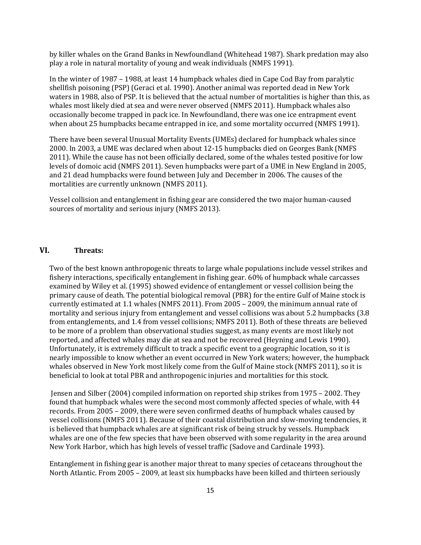by killer whales on the Grand Banks in Newfoundland (Whitehead 1987). Shark predation may also play a role in natural mortality of young and weak individuals (NMFS 1991).

In the winter of 1987 – 1988, at least 14 humpback whales died in Cape Cod Bay from paralytic shellfish poisoning (PSP) (Geraci et al. 1990). Another animal was reported dead in New York waters in 1988, also of PSP. It is believed that the actual number of mortalities is higher than this, as whales most likely died at sea and were never observed (NMFS 2011). Humpback whales also occasionally become trapped in pack ice. In Newfoundland, there was one ice entrapment event when about 25 humpbacks became entrapped in ice, and some mortality occurred (NMFS 1991).

There have been several Unusual Mortality Events (UMEs) declared for humpback whales since 2000. In 2003, a UME was declared when about 12-15 humpbacks died on Georges Bank (NMFS 2011). While the cause has not been officially declared, some of the whales tested positive for low levels of domoic acid (NMFS 2011). Seven humpbacks were part of a UME in New England in 2005, and 21 dead humpbacks were found between July and December in 2006. The causes of the mortalities are currently unknown (NMFS 2011).

Vessel collision and entanglement in fishing gear are considered the two major human-caused sources of mortality and serious injury (NMFS 2013).

# **VI. Threats:**

Two of the best known anthropogenic threats to large whale populations include vessel strikes and fishery interactions, specifically entanglement in fishing gear. 60% of humpback whale carcasses examined by Wiley et al. (1995) showed evidence of entanglement or vessel collision being the primary cause of death. The potential biological removal (PBR) for the entire Gulf of Maine stock is currently estimated at 1.1 whales (NMFS 2011). From 2005 – 2009, the minimum annual rate of mortality and serious injury from entanglement and vessel collisions was about 5.2 humpbacks (3.8 from entanglements, and 1.4 from vessel collisions; NMFS 2011). Both of these threats are believed to be more of a problem than observational studies suggest, as many events are most likely not reported, and affected whales may die at sea and not be recovered (Heyning and Lewis 1990). Unfortunately, it is extremely difficult to track a specific event to a geographic location, so it is nearly impossible to know whether an event occurred in New York waters; however, the humpback whales observed in New York most likely come from the Gulf of Maine stock (NMFS 2011), so it is beneficial to look at total PBR and anthropogenic injuries and mortalities for this stock.

Jensen and Silber (2004) compiled information on reported ship strikes from 1975 – 2002. They found that humpback whales were the second most commonly affected species of whale, with 44 records. From 2005 – 2009, there were seven confirmed deaths of humpback whales caused by vessel collisions (NMFS 2011). Because of their coastal distribution and slow-moving tendencies, it is believed that humpback whales are at significant risk of being struck by vessels. Humpback whales are one of the few species that have been observed with some regularity in the area around New York Harbor, which has high levels of vessel traffic (Sadove and Cardinale 1993).

Entanglement in fishing gear is another major threat to many species of cetaceans throughout the North Atlantic. From 2005 – 2009, at least six humpbacks have been killed and thirteen seriously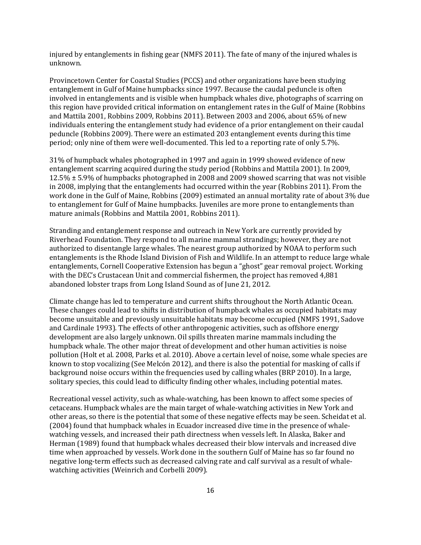injured by entanglements in fishing gear (NMFS 2011). The fate of many of the injured whales is unknown.

Provincetown Center for Coastal Studies (PCCS) and other organizations have been studying entanglement in Gulf of Maine humpbacks since 1997. Because the caudal peduncle is often involved in entanglements and is visible when humpback whales dive, photographs of scarring on this region have provided critical information on entanglement rates in the Gulf of Maine (Robbins and Mattila 2001, Robbins 2009, Robbins 2011). Between 2003 and 2006, about 65% of new individuals entering the entanglement study had evidence of a prior entanglement on their caudal peduncle (Robbins 2009). There were an estimated 203 entanglement events during this time period; only nine of them were well-documented. This led to a reporting rate of only 5.7%.

31% of humpback whales photographed in 1997 and again in 1999 showed evidence of new entanglement scarring acquired during the study period (Robbins and Mattila 2001). In 2009, 12.5% ± 5.9% of humpbacks photographed in 2008 and 2009 showed scarring that was not visible in 2008, implying that the entanglements had occurred within the year (Robbins 2011). From the work done in the Gulf of Maine, Robbins (2009) estimated an annual mortality rate of about 3% due to entanglement for Gulf of Maine humpbacks. Juveniles are more prone to entanglements than mature animals (Robbins and Mattila 2001, Robbins 2011).

Stranding and entanglement response and outreach in New York are currently provided by Riverhead Foundation. They respond to all marine mammal strandings; however, they are not authorized to disentangle large whales. The nearest group authorized by NOAA to perform such entanglements is the Rhode Island Division of Fish and Wildlife. In an attempt to reduce large whale entanglements, Cornell Cooperative Extension has begun a "ghost" gear removal project. Working with the DEC's Crustacean Unit and commercial fishermen, the project has removed 4,881 abandoned lobster traps from Long Island Sound as of June 21, 2012.

Climate change has led to temperature and current shifts throughout the North Atlantic Ocean. These changes could lead to shifts in distribution of humpback whales as occupied habitats may become unsuitable and previously unsuitable habitats may become occupied (NMFS 1991, Sadove and Cardinale 1993). The effects of other anthropogenic activities, such as offshore energy development are also largely unknown. Oil spills threaten marine mammals including the humpback whale. The other major threat of development and other human activities is noise pollution (Holt et al. 2008, Parks et al. 2010). Above a certain level of noise, some whale species are known to stop vocalizing (See Melcón 2012), and there is also the potential for masking of calls if background noise occurs within the frequencies used by calling whales (BRP 2010). In a large, solitary species, this could lead to difficulty finding other whales, including potential mates.

Recreational vessel activity, such as whale-watching, has been known to affect some species of cetaceans. Humpback whales are the main target of whale-watching activities in New York and other areas, so there is the potential that some of these negative effects may be seen. Scheidat et al. (2004) found that humpback whales in Ecuador increased dive time in the presence of whalewatching vessels, and increased their path directness when vessels left. In Alaska, Baker and Herman (1989) found that humpback whales decreased their blow intervals and increased dive time when approached by vessels. Work done in the southern Gulf of Maine has so far found no negative long-term effects such as decreased calving rate and calf survival as a result of whalewatching activities (Weinrich and Corbelli 2009).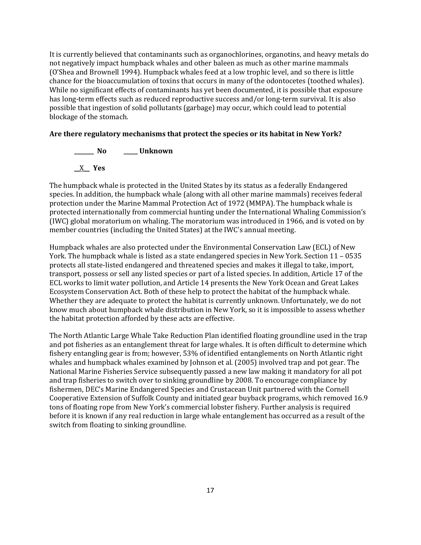It is currently believed that contaminants such as organochlorines, organotins, and heavy metals do not negatively impact humpback whales and other baleen as much as other marine mammals (O'Shea and Brownell 1994). Humpback whales feed at a low trophic level, and so there is little chance for the bioaccumulation of toxins that occurs in many of the odontocetes (toothed whales). While no significant effects of contaminants has yet been documented, it is possible that exposure has long-term effects such as reduced reproductive success and/or long-term survival. It is also possible that ingestion of solid pollutants (garbage) may occur, which could lead to potential blockage of the stomach.

# **Are there regulatory mechanisms that protect the species or its habitat in New York?**

**\_\_\_\_\_\_\_ No \_\_\_\_\_ Unknown**

\_\_X\_\_ **Yes** 

The humpback whale is protected in the United States by its status as a federally Endangered species. In addition, the humpback whale (along with all other marine mammals) receives federal protection under the Marine Mammal Protection Act of 1972 (MMPA). The humpback whale is protected internationally from commercial hunting under the International Whaling Commission's (IWC) global moratorium on whaling. The moratorium was introduced in 1966, and is voted on by member countries (including the United States) at the IWC's annual meeting.

Humpback whales are also protected under the Environmental Conservation Law (ECL) of New York. The humpback whale is listed as a state endangered species in New York. Section 11 – 0535 protects all state-listed endangered and threatened species and makes it illegal to take, import, transport, possess or sell any listed species or part of a listed species. In addition, Article 17 of the ECL works to limit water pollution, and Article 14 presents the New York Ocean and Great Lakes Ecosystem Conservation Act. Both of these help to protect the habitat of the humpback whale. Whether they are adequate to protect the habitat is currently unknown. Unfortunately, we do not know much about humpback whale distribution in New York, so it is impossible to assess whether the habitat protection afforded by these acts are effective.

The North Atlantic Large Whale Take Reduction Plan identified floating groundline used in the trap and pot fisheries as an entanglement threat for large whales. It is often difficult to determine which fishery entangling gear is from; however, 53% of identified entanglements on North Atlantic right whales and humpback whales examined by Johnson et al. (2005) involved trap and pot gear. The National Marine Fisheries Service subsequently passed a new law making it mandatory for all pot and trap fisheries to switch over to sinking groundline by 2008. To encourage compliance by fishermen, DEC's Marine Endangered Species and Crustacean Unit partnered with the Cornell Cooperative Extension of Suffolk County and initiated gear buyback programs, which removed 16.9 tons of floating rope from New York's commercial lobster fishery. Further analysis is required before it is known if any real reduction in large whale entanglement has occurred as a result of the switch from floating to sinking groundline.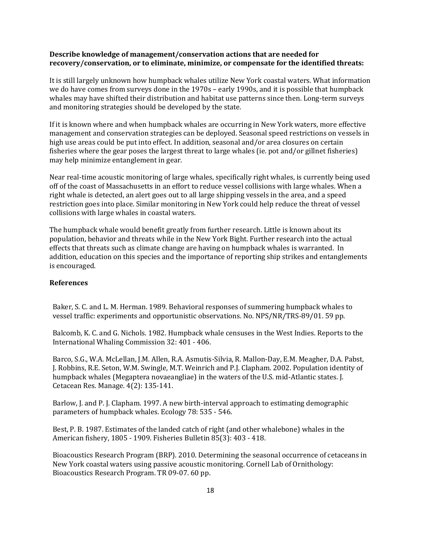### **Describe knowledge of management/conservation actions that are needed for recovery/conservation, or to eliminate, minimize, or compensate for the identified threats:**

It is still largely unknown how humpback whales utilize New York coastal waters. What information we do have comes from surveys done in the 1970s – early 1990s, and it is possible that humpback whales may have shifted their distribution and habitat use patterns since then. Long-term surveys and monitoring strategies should be developed by the state.

If it is known where and when humpback whales are occurring in New York waters, more effective management and conservation strategies can be deployed. Seasonal speed restrictions on vessels in high use areas could be put into effect. In addition, seasonal and/or area closures on certain fisheries where the gear poses the largest threat to large whales (ie. pot and/or gillnet fisheries) may help minimize entanglement in gear.

Near real-time acoustic monitoring of large whales, specifically right whales, is currently being used off of the coast of Massachusetts in an effort to reduce vessel collisions with large whales. When a right whale is detected, an alert goes out to all large shipping vessels in the area, and a speed restriction goes into place. Similar monitoring in New York could help reduce the threat of vessel collisions with large whales in coastal waters.

The humpback whale would benefit greatly from further research. Little is known about its population, behavior and threats while in the New York Bight. Further research into the actual effects that threats such as climate change are having on humpback whales is warranted. In addition, education on this species and the importance of reporting ship strikes and entanglements is encouraged.

### **References**

Baker, S. C. and L. M. Herman. 1989. Behavioral responses of summering humpback whales to vessel traffic: experiments and opportunistic observations. No. NPS/NR/TRS-89/01. 59 pp.

Balcomb, K. C. and G. Nichols. 1982. Humpback whale censuses in the West Indies. Reports to the International Whaling Commission 32: 401 - 406.

Barco, S.G., W.A. McLellan, J.M. Allen, R.A. Asmutis-Silvia, R. Mallon-Day, E.M. Meagher, D.A. Pabst, J. Robbins, R.E. Seton, W.M. Swingle, M.T. Weinrich and P.J. Clapham. 2002. Population identity of humpback whales (Megaptera novaeangliae) in the waters of the U.S. mid-Atlantic states. J. Cetacean Res. Manage. 4(2): 135-141.

Barlow, J. and P. J. Clapham. 1997. A new birth-interval approach to estimating demographic parameters of humpback whales. Ecology 78: 535 - 546.

Best, P. B. 1987. Estimates of the landed catch of right (and other whalebone) whales in the American fishery, 1805 - 1909. Fisheries Bulletin 85(3): 403 - 418.

Bioacoustics Research Program (BRP). 2010. Determining the seasonal occurrence of cetaceans in New York coastal waters using passive acoustic monitoring. Cornell Lab of Ornithology: Bioacoustics Research Program. TR 09-07. 60 pp.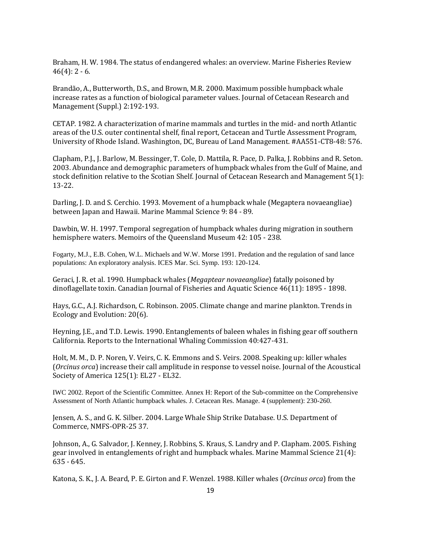Braham, H. W. 1984. The status of endangered whales: an overview. Marine Fisheries Review  $46(4): 2 - 6.$ 

Brandão, A., Butterworth, D.S., and Brown, M.R. 2000. Maximum possible humpback whale increase rates as a function of biological parameter values. Journal of Cetacean Research and Management (Suppl.) 2:192-193.

CETAP. 1982. A characterization of marine mammals and turtles in the mid- and north Atlantic areas of the U.S. outer continental shelf, final report, Cetacean and Turtle Assessment Program, University of Rhode Island. Washington, DC, Bureau of Land Management. #AA551-CT8-48: 576.

Clapham, P.J., J. Barlow, M. Bessinger, T. Cole, D. Mattila, R. Pace, D. Palka, J. Robbins and R. Seton. 2003. Abundance and demographic parameters of humpback whales from the Gulf of Maine, and stock definition relative to the Scotian Shelf. Journal of Cetacean Research and Management 5(1): 13-22.

Darling, J. D. and S. Cerchio. 1993. Movement of a humpback whale (Megaptera novaeangliae) between Japan and Hawaii. Marine Mammal Science 9: 84 - 89.

Dawbin, W. H. 1997. Temporal segregation of humpback whales during migration in southern hemisphere waters. Memoirs of the Queensland Museum 42: 105 - 238.

Fogarty, M.J., E.B. Cohen, W.L. Michaels and W.W. Morse 1991. Predation and the regulation of sand lance populations: An exploratory analysis. ICES Mar. Sci. Symp. 193: 120-124.

Geraci, J. R. et al. 1990. Humpback whales (*Megaptear novaeangliae*) fatally poisoned by dinoflagellate toxin. Canadian Journal of Fisheries and Aquatic Science 46(11): 1895 - 1898.

Hays, G.C., A.J. Richardson, C. Robinson. 2005. Climate change and marine plankton. Trends in Ecology and Evolution: 20(6).

Heyning, J.E., and T.D. Lewis. 1990. Entanglements of baleen whales in fishing gear off southern California. Reports to the International Whaling Commission 40:427-431.

Holt, M. M., D. P. Noren, V. Veirs, C. K. Emmons and S. Veirs. 2008. Speaking up: killer whales (*Orcinus orca*) increase their call amplitude in response to vessel noise. Journal of the Acoustical Society of America 125(1): EL27 - EL32.

IWC 2002. Report of the Scientific Committee. Annex H: Report of the Sub-committee on the Comprehensive Assessment of North Atlantic humpback whales. J. Cetacean Res. Manage. 4 (supplement): 230-260.

Jensen, A. S., and G. K. Silber. 2004. Large Whale Ship Strike Database. U.S. Department of Commerce, NMFS-OPR-25 37.

Johnson, A., G. Salvador, J. Kenney, J. Robbins, S. Kraus, S. Landry and P. Clapham. 2005. Fishing gear involved in entanglements of right and humpback whales. Marine Mammal Science 21(4): 635 - 645.

Katona, S. K., J. A. Beard, P. E. Girton and F. Wenzel. 1988. Killer whales (*Orcinus orca*) from the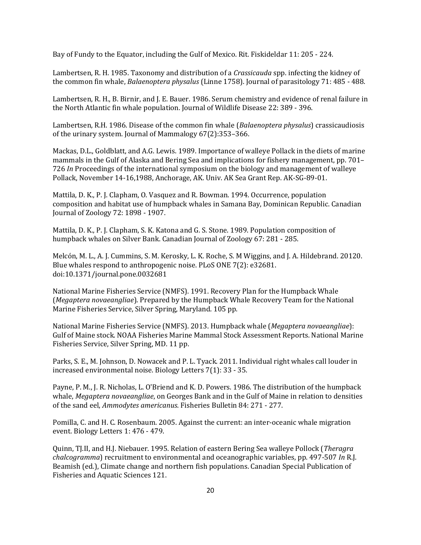Bay of Fundy to the Equator, including the Gulf of Mexico. Rit. Fiskideldar 11: 205 - 224.

Lambertsen, R. H. 1985. Taxonomy and distribution of a *Crassicauda* spp. infecting the kidney of the common fin whale, *Balaenoptera physalus* (Linne 1758). Journal of parasitology 71: 485 - 488.

Lambertsen, R. H., B. Birnir, and J. E. Bauer. 1986. Serum chemistry and evidence of renal failure in the North Atlantic fin whale population. Journal of Wildlife Disease 22: 389 - 396.

Lambertsen, R.H. 1986. Disease of the common fin whale (*Balaenoptera physalus*) crassicaudiosis of the urinary system. Journal of Mammalogy 67(2):353–366.

Mackas, D.L., Goldblatt, and A.G. Lewis. 1989. Importance of walleye Pollack in the diets of marine mammals in the Gulf of Alaska and Bering Sea and implications for fishery management, pp. 701– 726 *In* Proceedings of the international symposium on the biology and management of walleye Pollack, November 14-16,1988, Anchorage, AK. Univ. AK Sea Grant Rep. AK-SG-89-01.

Mattila, D. K., P. J. Clapham, O. Vasquez and R. Bowman. 1994. Occurrence, population composition and habitat use of humpback whales in Samana Bay, Dominican Republic. Canadian Journal of Zoology 72: 1898 - 1907.

Mattila, D. K., P. J. Clapham, S. K. Katona and G. S. Stone. 1989. Population composition of humpback whales on Silver Bank. Canadian Journal of Zoology 67: 281 - 285.

Melcón, M. L., A. J. Cummins, S. M. Kerosky, L. K. Roche, S. M Wiggins, and J. A. Hildebrand. 20120. Blue whales respond to anthropogenic noise. PLoS ONE 7(2): e32681. doi:10.1371/journal.pone.0032681

National Marine Fisheries Service (NMFS). 1991. Recovery Plan for the Humpback Whale (*Megaptera novaeangliae*). Prepared by the Humpback Whale Recovery Team for the National Marine Fisheries Service, Silver Spring, Maryland. 105 pp.

National Marine Fisheries Service (NMFS). 2013. Humpback whale (*Megaptera novaeangliae*): Gulf of Maine stock. NOAA Fisheries Marine Mammal Stock Assessment Reports. National Marine Fisheries Service, Silver Spring, MD. 11 pp.

Parks, S. E., M. Johnson, D. Nowacek and P. L. Tyack. 2011. Individual right whales call louder in increased environmental noise. Biology Letters 7(1): 33 - 35.

Payne, P. M., J. R. Nicholas, L. O'Briend and K. D. Powers. 1986. The distribution of the humpback whale, *Megaptera novaeangliae*, on Georges Bank and in the Gulf of Maine in relation to densities of the sand eel, *Ammodytes americanus*. Fisheries Bulletin 84: 271 - 277.

Pomilla, C. and H. C. Rosenbaum. 2005. Against the current: an inter-oceanic whale migration event. Biology Letters 1: 476 - 479.

Quinn, TJ.II, and H.J. Niebauer. 1995. Relation of eastern Bering Sea walleye Pollock (*Theragra chalcogramma*) recruitment to environmental and oceanographic variables, pp. 497-507 *In* R.J. Beamish (ed.), Climate change and northern fish populations. Canadian Special Publication of Fisheries and Aquatic Sciences 121.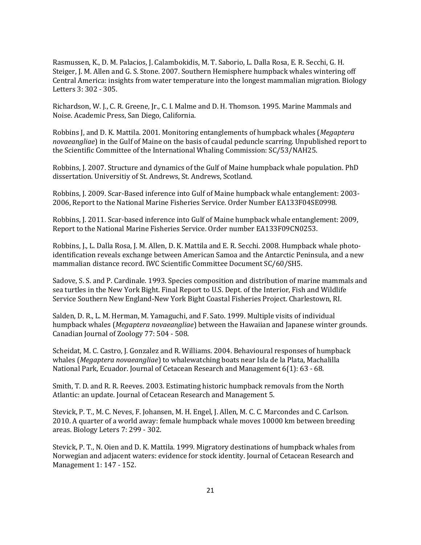Rasmussen, K., D. M. Palacios, J. Calambokidis, M. T. Saborio, L. Dalla Rosa, E. R. Secchi, G. H. Steiger, J. M. Allen and G. S. Stone. 2007. Southern Hemisphere humpback whales wintering off Central America: insights from water temperature into the longest mammalian migration. Biology Letters 3: 302 - 305.

Richardson, W. J., C. R. Greene, Jr., C. I. Malme and D. H. Thomson. 1995. Marine Mammals and Noise. Academic Press, San Diego, California.

Robbins J, and D. K. Mattila. 2001. Monitoring entanglements of humpback whales (*Megaptera novaeangliae*) in the Gulf of Maine on the basis of caudal peduncle scarring. Unpublished report to the Scientific Committee of the International Whaling Commission: SC/53/NAH25.

Robbins, J. 2007. Structure and dynamics of the Gulf of Maine humpback whale population. PhD dissertation. Universitiy of St. Andrews, St. Andrews, Scotland.

Robbins, J. 2009. Scar-Based inference into Gulf of Maine humpback whale entanglement: 2003- 2006, Report to the National Marine Fisheries Service. Order Number EA133F04SE0998.

Robbins, J. 2011. Scar-based inference into Gulf of Maine humpback whale entanglement: 2009, Report to the National Marine Fisheries Service. Order number EA133F09CN0253.

Robbins, J., L. Dalla Rosa, J. M. Allen, D. K. Mattila and E. R. Secchi. 2008. Humpback whale photoidentification reveals exchange between American Samoa and the Antarctic Peninsula, and a new mammalian distance record. IWC Scientific Committee Document SC/60/SH5.

Sadove, S. S. and P. Cardinale. 1993. Species composition and distribution of marine mammals and sea turtles in the New York Bight. Final Report to U.S. Dept. of the Interior, Fish and Wildlife Service Southern New England-New York Bight Coastal Fisheries Project. Charlestown, RI.

Salden, D. R., L. M. Herman, M. Yamaguchi, and F. Sato. 1999. Multiple visits of individual humpback whales (*Megaptera novaeangliae*) between the Hawaiian and Japanese winter grounds. Canadian Journal of Zoology 77: 504 - 508.

Scheidat, M. C. Castro, J. Gonzalez and R. Williams. 2004. Behavioural responses of humpback whales (*Megaptera novaeangliae*) to whalewatching boats near Isla de la Plata, Machalilla National Park, Ecuador. Journal of Cetacean Research and Management 6(1): 63 - 68.

Smith, T. D. and R. R. Reeves. 2003. Estimating historic humpback removals from the North Atlantic: an update. Journal of Cetacean Research and Management 5.

Stevick, P. T., M. C. Neves, F. Johansen, M. H. Engel, J. Allen, M. C. C. Marcondes and C. Carlson. 2010. A quarter of a world away: female humpback whale moves 10000 km between breeding areas. Biology Leters 7: 299 - 302.

Stevick, P. T., N. Oien and D. K. Mattila. 1999. Migratory destinations of humpback whales from Norwegian and adjacent waters: evidence for stock identity. Journal of Cetacean Research and Management 1: 147 - 152.